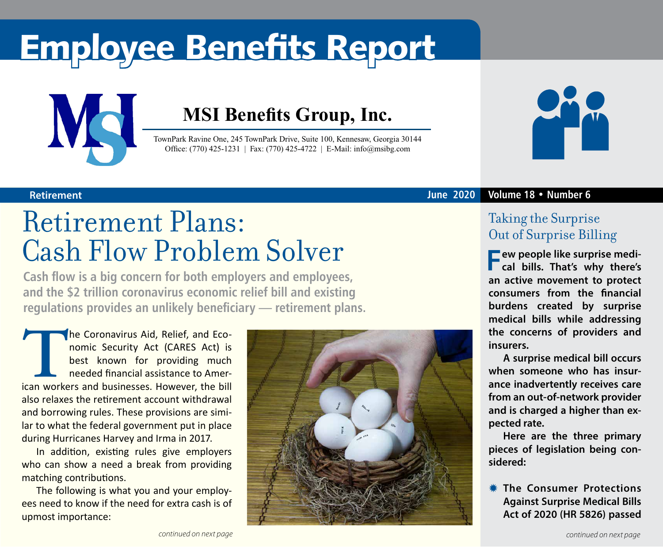# Employee Benefits Report



### **MSI Benefits Group, Inc.**

TownPark Ravine One, 245 TownPark Drive, Suite 100, Kennesaw, Georgia 30144 Office: (770) 425-1231 | Fax: (770) 425-4722 | E-Mail: info@msibg.com

## Retirement Plans: Cash Flow Problem Solver

**Cash flow is a big concern for both employers and employees, and the \$2 trillion coronavirus economic relief bill and existing regulations provides an unlikely beneficiary — retirement plans.**

The Coronavirus Aid, Relief, and Eco-<br>nomic Security Act (CARES Act) is<br>best known for providing much<br>needed financial assistance to Amer-<br>ican workers and businesses. However, the bill nomic Security Act (CARES Act) is best known for providing much needed financial assistance to American workers and businesses. However, the bill also relaxes the retirement account withdrawal and borrowing rules. These provisions are similar to what the federal government put in place during Hurricanes Harvey and Irma in 2017.

In addition, existing rules give employers who can show a need a break from providing matching contributions.

The following is what you and your employees need to know if the need for extra cash is of upmost importance:





### **Retirement June 2020 Volume 18 • Number 6**

### Taking the Surprise Out of Surprise Billing

**Few people like surprise medi-cal bills. That's why there's an active movement to protect consumers from the financial burdens created by surprise medical bills while addressing the concerns of providers and insurers.**

**A surprise medical bill occurs when someone who has insurance inadvertently receives care from an out-of-network provider and is charged a higher than expected rate.** 

**Here are the three primary pieces of legislation being considered:** 

**K** The Consumer Protections **Against Surprise Medical Bills Act of 2020 (HR 5826) passed**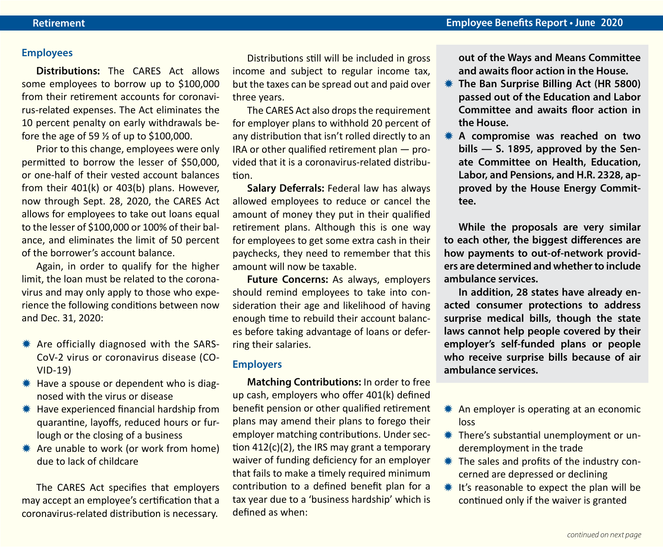#### **Employees**

**Distributions:** The CARES Act allows some employees to borrow up to \$100,000 from their retirement accounts for coronavirus-related expenses. The Act eliminates the 10 percent penalty on early withdrawals before the age of 59 ½ of up to \$100,000.

Prior to this change, employees were only permitted to borrow the lesser of \$50,000, or one-half of their vested account balances from their 401(k) or 403(b) plans. However, now through Sept. 28, 2020, the CARES Act allows for employees to take out loans equal to the lesser of \$100,000 or 100% of their balance, and eliminates the limit of 50 percent of the borrower's account balance.

Again, in order to qualify for the higher limit, the loan must be related to the coronavirus and may only apply to those who experience the following conditions between now and Dec. 31, 2020:

- $*$  Are officially diagnosed with the SARS-CoV-2 virus or coronavirus disease (CO-VID-19)
- $*$  Have a spouse or dependent who is diagnosed with the virus or disease
- $*$  Have experienced financial hardship from quarantine, layoffs, reduced hours or furlough or the closing of a business
- **\*** Are unable to work (or work from home) due to lack of childcare

The CARES Act specifies that employers may accept an employee's certification that a coronavirus-related distribution is necessary.

Distributions still will be included in gross income and subject to regular income tax, but the taxes can be spread out and paid over three years.

The CARES Act also drops the requirement for employer plans to withhold 20 percent of any distribution that isn't rolled directly to an IRA or other qualified retirement plan — provided that it is a coronavirus-related distribution.

**Salary Deferrals:** Federal law has always allowed employees to reduce or cancel the amount of money they put in their qualified retirement plans. Although this is one way for employees to get some extra cash in their paychecks, they need to remember that this amount will now be taxable.

**Future Concerns:** As always, employers should remind employees to take into consideration their age and likelihood of having enough time to rebuild their account balances before taking advantage of loans or deferring their salaries.

### **Employers**

**Matching Contributions:** In order to free up cash, employers who offer 401(k) defined benefit pension or other qualified retirement plans may amend their plans to forego their employer matching contributions. Under section 412(c)(2), the IRS may grant a temporary waiver of funding deficiency for an employer that fails to make a timely required minimum contribution to a defined benefit plan for a tax year due to a 'business hardship' which is defined as when:

**out of the Ways and Means Committee and awaits floor action in the House.**

- **KETHE Ban Surprise Billing Act (HR 5800) passed out of the Education and Labor Committee and awaits floor action in the House.**
- $*$  **A compromise was reached on two bills — S. 1895, approved by the Senate Committee on Health, Education, Labor, and Pensions, and H.R. 2328, approved by the House Energy Committee.**

**While the proposals are very similar to each other, the biggest differences are how payments to out-of-network providers are determined and whether to include ambulance services.**

**In addition, 28 states have already enacted consumer protections to address surprise medical bills, though the state laws cannot help people covered by their employer's self-funded plans or people who receive surprise bills because of air ambulance services.**

- $*$  An employer is operating at an economic loss
- $*$  There's substantial unemployment or underemployment in the trade
- $*$  The sales and profits of the industry concerned are depressed or declining
- $*$  It's reasonable to expect the plan will be continued only if the waiver is granted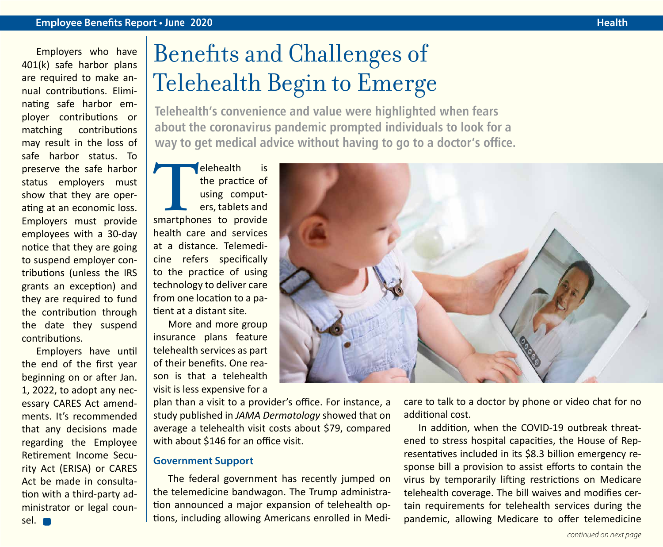#### **Employee Benefits Report • June 2020 Health Health Health Health Health Health**

Employers who have 401(k) safe harbor plans are required to make annual contributions. Eliminating safe harbor employer contributions or matching contributions may result in the loss of safe harbor status. To preserve the safe harbor status employers must show that they are operating at an economic loss. Employers must provide employees with a 30-day notice that they are going to suspend employer contributions (unless the IRS grants an exception) and they are required to fund the contribution through the date they suspend contributions.

Employers have until the end of the first year beginning on or after Jan. 1, 2022, to adopt any necessary CARES Act amendments. It's recommended that any decisions made regarding the Employee Retirement Income Security Act (ERISA) or CARES Act be made in consultation with a third-party administrator or legal counsel.

## Benefits and Challenges of Telehealth Begin to Emerge

**Telehealth's convenience and value were highlighted when fears about the coronavirus pandemic prompted individuals to look for a way to get medical advice without having to go to a doctor's office.**

**The Properties Conserved Smartphones to provide**<br>
Fractice of using comput-<br>
ers, tablets and<br>
smartphones to provide the practice of using computers, tablets and health care and services at a distance. Telemedicine refers specifically to the practice of using technology to deliver care from one location to a patient at a distant site.

More and more group insurance plans feature telehealth services as part of their benefits. One reason is that a telehealth visit is less expensive for a

plan than a visit to a provider's office. For instance, a study published in *JAMA Dermatology* showed that on average a telehealth visit costs about \$79, compared with about \$146 for an office visit.

#### **Government Support**

The federal government has recently jumped on the telemedicine bandwagon. The Trump administration announced a major expansion of telehealth options, including allowing Americans enrolled in Medi-



care to talk to a doctor by phone or video chat for no additional cost.

In addition, when the COVID-19 outbreak threatened to stress hospital capacities, the House of Representatives included in its \$8.3 billion emergency response bill a provision to assist efforts to contain the virus by temporarily lifting restrictions on Medicare telehealth coverage. The bill waives and modifies certain requirements for telehealth services during the pandemic, allowing Medicare to offer telemedicine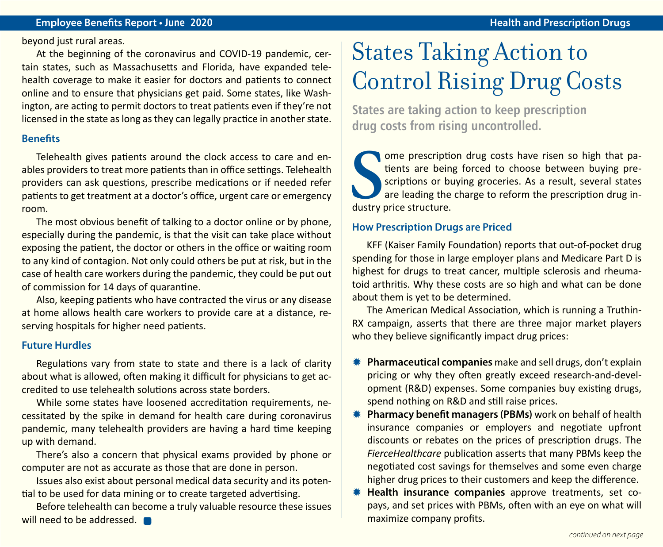#### **Employee Benefits Report • June 2020 Health and Prescription Drugs**

beyond just rural areas.

At the beginning of the coronavirus and COVID-19 pandemic, certain states, such as Massachusetts and Florida, have expanded telehealth coverage to make it easier for doctors and patients to connect online and to ensure that physicians get paid. Some states, like Washington, are acting to permit doctors to treat patients even if they're not licensed in the state as long as they can legally practice in another state.

#### **Benefits**

Telehealth gives patients around the clock access to care and enables providers to treat more patients than in office settings. Telehealth providers can ask questions, prescribe medications or if needed refer patients to get treatment at a doctor's office, urgent care or emergency room.

The most obvious benefit of talking to a doctor online or by phone, especially during the pandemic, is that the visit can take place without exposing the patient, the doctor or others in the office or waiting room to any kind of contagion. Not only could others be put at risk, but in the case of health care workers during the pandemic, they could be put out of commission for 14 days of quarantine.

Also, keeping patients who have contracted the virus or any disease at home allows health care workers to provide care at a distance, reserving hospitals for higher need patients.

#### **Future Hurdles**

Regulations vary from state to state and there is a lack of clarity about what is allowed, often making it difficult for physicians to get accredited to use telehealth solutions across state borders.

While some states have loosened accreditation requirements, necessitated by the spike in demand for health care during coronavirus pandemic, many telehealth providers are having a hard time keeping up with demand.

There's also a concern that physical exams provided by phone or computer are not as accurate as those that are done in person.

Issues also exist about personal medical data security and its potential to be used for data mining or to create targeted advertising.

Before telehealth can become a truly valuable resource these issues will need to be addressed.

## States Taking Action to Control Rising Drug Costs

**States are taking action to keep prescription drug costs from rising uncontrolled.**

**S**seriptions are bein<br>
scriptions or b<br>
are leading the<br>
dustry price structure. ome prescription drug costs have risen so high that patients are being forced to choose between buying prescriptions or buying groceries. As a result, several states are leading the charge to reform the prescription drug in-

#### **How Prescription Drugs are Priced**

KFF (Kaiser Family Foundation) reports that out-of-pocket drug spending for those in large employer plans and Medicare Part D is highest for drugs to treat cancer, multiple sclerosis and rheumatoid arthritis. Why these costs are so high and what can be done about them is yet to be determined.

The American Medical Association, which is running a Truthin-RX campaign, asserts that there are three major market players who they believe significantly impact drug prices:

- **\*** Pharmaceutical companies make and sell drugs, don't explain pricing or why they often greatly exceed research-and-development (R&D) expenses. Some companies buy existing drugs, spend nothing on R&D and still raise prices.
- **WE Pharmacy benefit managers (PBMs)** work on behalf of health insurance companies or employers and negotiate upfront discounts or rebates on the prices of prescription drugs. The *FierceHealthcare* publication asserts that many PBMs keep the negotiated cost savings for themselves and some even charge higher drug prices to their customers and keep the difference.
- **\* Health insurance companies** approve treatments, set copays, and set prices with PBMs, often with an eye on what will maximize company profits.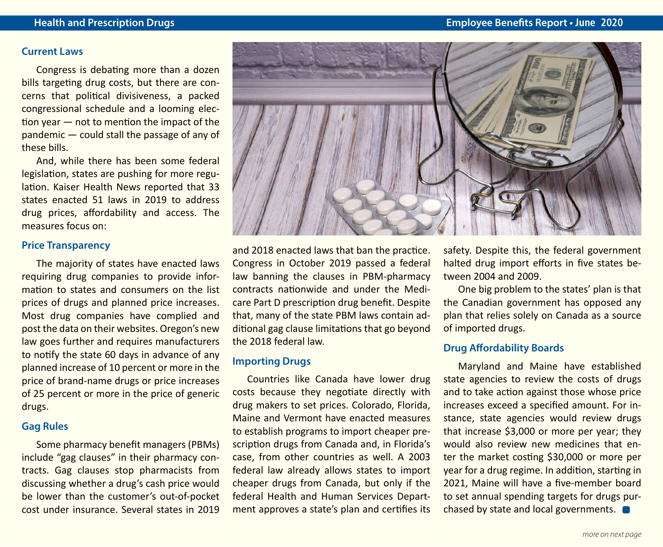#### **Current Laws**

Congress is debating more than a dozen bills targeting drug costs, but there are concerns that political divisiveness, a packed congressional schedule and a looming election year — not to mention the impact of the pandemic — could stall the passage of any of these bills.

And, while there has been some federal legislation, states are pushing for more regulation. Kaiser Health News reported that 33 states enacted 51 laws in 2019 to address drug prices, affordability and access. The measures focus on:

#### **Price Transparency**

The majority of states have enacted laws requiring drug companies to provide information to states and consumers on the list prices of drugs and planned price increases. Most drug companies have complied and post the data on their websites. Oregon's new law goes further and requires manufacturers to notify the state 60 days in advance of any planned increase of 10 percent or more in the price of brand-name drugs or price increases of 25 percent or more in the price of generic drugs.

#### **Gag Rules**

Some pharmacy benefit managers (PBMs) include "gag clauses" in their pharmacy contracts. Gag clauses stop pharmacists from discussing whether a drug's cash price would be lower than the customer's out-of-pocket cost under insurance. Several states in 2019



and 2018 enacted laws that ban the practice. Congress in October 2019 passed a federal law banning the clauses in PBM-pharmacy contracts nationwide and under the Medicare Part D prescription drug benefit. Despite that, many of the state PBM laws contain additional gag clause limitations that go beyond the 2018 federal law.

#### **Importing Drugs**

Countries like Canada have lower drug costs because they negotiate directly with drug makers to set prices. Colorado, Florida, Maine and Vermont have enacted measures to establish programs to import cheaper prescription drugs from Canada and, in Florida's case, from other countries as well. A 2003 federal law already allows states to import cheaper drugs from Canada, but only if the federal Health and Human Services Department approves a state's plan and certifies its safety. Despite this, the federal government halted drug import efforts in five states between 2004 and 2009.

One big problem to the states' plan is that the Canadian government has opposed any plan that relies solely on Canada as a source of imported drugs.

#### **Drug Affordability Boards**

Maryland and Maine have established state agencies to review the costs of drugs and to take action against those whose price increases exceed a specified amount. For instance, state agencies would review drugs that increase \$3,000 or more per year; they would also review new medicines that enter the market costing \$30,000 or more per year for a drug regime. In addition, starting in 2021, Maine will have a five-member board to set annual spending targets for drugs purchased by state and local governments.